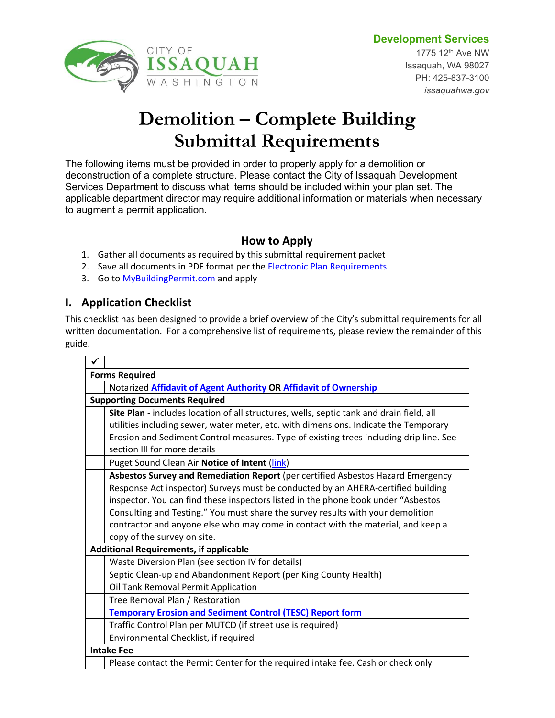# **Development Services**



# **Demolition – Complete Building Submittal Requirements**

The following items must be provided in order to properly apply for a demolition or deconstruction of a complete structure. Please contact the City of Issaquah Development Services Department to discuss what items should be included within your plan set. The applicable department director may require additional information or materials when necessary to augment a permit application.

# **How to Apply**

- 1. Gather all documents as required by this submittal requirement packet
- 2. Save all documents in PDF format per the **[Electronic Plan Requirements](http://issaquahwa.gov/DocumentCenter/View/2643)**
- 3. Go to [MyBuildingPermit.com](http://MyBuildingPermit.com) and apply

# **I. Application Checklist**

This checklist has been designed to provide a brief overview of the City's submittal requirements for all written documentation. For a comprehensive list of requirements, please review the remainder of this guide.

| ✓                                             |                                                                                          |
|-----------------------------------------------|------------------------------------------------------------------------------------------|
| <b>Forms Required</b>                         |                                                                                          |
|                                               | Notarized Affidavit of Agent Authority OR Affidavit of Ownership                         |
| <b>Supporting Documents Required</b>          |                                                                                          |
|                                               | Site Plan - includes location of all structures, wells, septic tank and drain field, all |
|                                               | utilities including sewer, water meter, etc. with dimensions. Indicate the Temporary     |
|                                               | Erosion and Sediment Control measures. Type of existing trees including drip line. See   |
|                                               | section III for more details                                                             |
|                                               | Puget Sound Clean Air Notice of Intent (link)                                            |
|                                               | Asbestos Survey and Remediation Report (per certified Asbestos Hazard Emergency          |
|                                               | Response Act inspector) Surveys must be conducted by an AHERA-certified building         |
|                                               | inspector. You can find these inspectors listed in the phone book under "Asbestos        |
|                                               | Consulting and Testing." You must share the survey results with your demolition          |
|                                               | contractor and anyone else who may come in contact with the material, and keep a         |
|                                               | copy of the survey on site.                                                              |
| <b>Additional Requirements, if applicable</b> |                                                                                          |
|                                               | Waste Diversion Plan (see section IV for details)                                        |
|                                               | Septic Clean-up and Abandonment Report (per King County Health)                          |
|                                               | Oil Tank Removal Permit Application                                                      |
|                                               | Tree Removal Plan / Restoration                                                          |
|                                               | <b>Temporary Erosion and Sediment Control (TESC) Report form</b>                         |
|                                               | Traffic Control Plan per MUTCD (if street use is required)                               |
|                                               | Environmental Checklist, if required                                                     |
| <b>Intake Fee</b>                             |                                                                                          |
|                                               | Please contact the Permit Center for the required intake fee. Cash or check only         |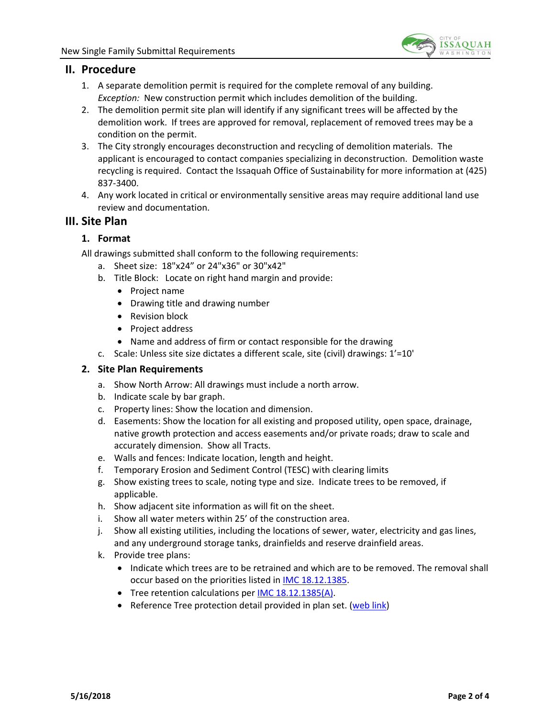

## **II. Procedure**

- 1. A separate demolition permit is required for the complete removal of any building. *Exception:* New construction permit which includes demolition of the building.
- 2. The demolition permit site plan will identify if any significant trees will be affected by the demolition work. If trees are approved for removal, replacement of removed trees may be a condition on the permit.
- 3. The City strongly encourages deconstruction and recycling of demolition materials. The applicant is encouraged to contact companies specializing in deconstruction. Demolition waste recycling is required. Contact the Issaquah Office of Sustainability for more information at (425) 837-3400.
- 4. Any work located in critical or environmentally sensitive areas may require additional land use review and documentation.

## <span id="page-1-0"></span>**III. Site Plan**

#### **1. Format**

All drawings submitted shall conform to the following requirements:

- a. Sheet size: 18"x24" or 24"x36" or 30"x42"
- b. Title Block: Locate on right hand margin and provide:
	- Project name
	- Drawing title and drawing number
	- Revision block
	- Project address
	- Name and address of firm or contact responsible for the drawing
- c. Scale: Unless site size dictates a different scale, site (civil) drawings: 1'=10'

#### **2. Site Plan Requirements**

- a. Show North Arrow: All drawings must include a north arrow.
- b. Indicate scale by bar graph.
- c. Property lines: Show the location and dimension.
- d. Easements: Show the location for all existing and proposed utility, open space, drainage, native growth protection and access easements and/or private roads; draw to scale and accurately dimension. Show all Tracts.
- e. Walls and fences: Indicate location, length and height.
- f. Temporary Erosion and Sediment Control (TESC) with clearing limits
- g. Show existing trees to scale, noting type and size. Indicate trees to be removed, if applicable.
- h. Show adjacent site information as will fit on the sheet.
- i. Show all water meters within 25' of the construction area.
- j. Show all existing utilities, including the locations of sewer, water, electricity and gas lines, and any underground storage tanks, drainfields and reserve drainfield areas.
- k. Provide tree plans:
	- Indicate which trees are to be retrained and which are to be removed. The removal shall occur based on the priorities listed in [IMC 18.12.1385.](http://www.codepublishing.com/wa/issaquah/?Issaquah18/Issaquah1812.html)
	- Tree retention calculations per [IMC 18.12.1385\(A\).](http://www.codepublishing.com/wa/issaquah/?Issaquah18/Issaquah1812.html)
	- Reference Tree protection detail provided in plan set. ([web link](http://issaquahwa.gov/DocumentCenter/View/851))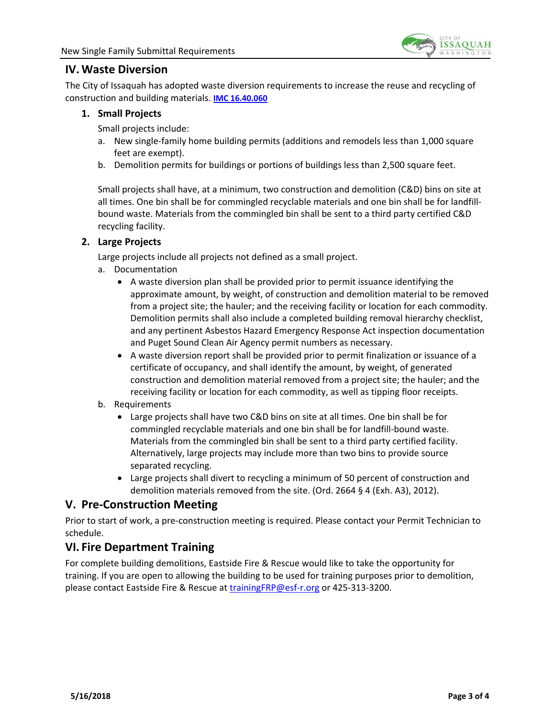

# <span id="page-2-0"></span>**IV. Waste Diversion**

The City of Issaquah has adopted waste diversion requirements to increase the reuse and recycling of construction and building materials. **[IMC 16.40.060](http://www.codepublishing.com/wa/issaquah/?Issaquah16/Issaquah1640.html)**

#### **1. Small Projects**

Small projects include:

- a. New single-family home building permits (additions and remodels less than 1,000 square feet are exempt).
- b. Demolition permits for buildings or portions of buildings less than 2,500 square feet.

Small projects shall have, at a minimum, two construction and demolition (C&D) bins on site at all times. One bin shall be for commingled recyclable materials and one bin shall be for landfillbound waste. Materials from the commingled bin shall be sent to a third party certified C&D recycling facility.

# **2. Large Projects**

Large projects include all projects not defined as a small project.

- a. Documentation
	- A waste diversion plan shall be provided prior to permit issuance identifying the approximate amount, by weight, of construction and demolition material to be removed from a project site; the hauler; and the receiving facility or location for each commodity. Demolition permits shall also include a completed building removal hierarchy checklist, and any pertinent Asbestos Hazard Emergency Response Act inspection documentation and Puget Sound Clean Air Agency permit numbers as necessary.
	- A waste diversion report shall be provided prior to permit finalization or issuance of a certificate of occupancy, and shall identify the amount, by weight, of generated construction and demolition material removed from a project site; the hauler; and the receiving facility or location for each commodity, as well as tipping floor receipts.
- b. Requirements
	- Large projects shall have two C&D bins on site at all times. One bin shall be for commingled recyclable materials and one bin shall be for landfill-bound waste. Materials from the commingled bin shall be sent to a third party certified facility. Alternatively, large projects may include more than two bins to provide source separated recycling.
	- Large projects shall divert to recycling a minimum of 50 percent of construction and demolition materials removed from the site. (Ord. 2664 § 4 (Exh. A3), 2012).

# **V. Pre-Construction Meeting**

Prior to start of work, a pre-construction meeting is required. Please contact your Permit Technician to schedule.

# **VI. Fire Department Training**

For complete building demolitions, Eastside Fire & Rescue would like to take the opportunity for training. If you are open to allowing the building to be used for training purposes prior to demolition, please contact Eastside Fire & Rescue at [trainingFRP@esf-r.org](mailto:trainingFRP@esf-r.org) or 425-313-3200.